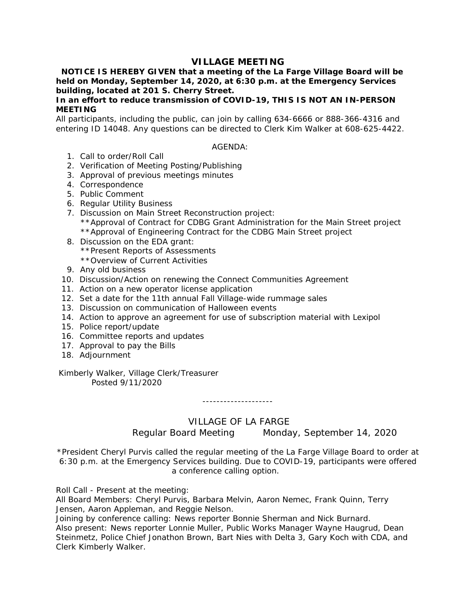# **VILLAGE MEETING**

 **NOTICE IS HEREBY GIVEN that a meeting of the La Farge Village Board will be held on Monday, September 14, 2020, at 6:30 p.m. at the Emergency Services building, located at 201 S. Cherry Street.** 

# **In an effort to reduce transmission of COVID-19, THIS IS NOT AN IN-PERSON MEETING**

All participants, including the public, can join by calling 634-6666 or 888-366-4316 and entering ID 14048. Any questions can be directed to Clerk Kim Walker at 608-625-4422.

## AGENDA:

- 1. Call to order/Roll Call
- 2. Verification of Meeting Posting/Publishing
- 3. Approval of previous meetings minutes
- 4. Correspondence
- 5. Public Comment
- 6. Regular Utility Business
- 7. Discussion on Main Street Reconstruction project: \*\*Approval of Contract for CDBG Grant Administration for the Main Street project \*\*Approval of Engineering Contract for the CDBG Main Street project
- 8. Discussion on the EDA grant: \*\*Present Reports of Assessments \*\*Overview of Current Activities
- 9. Any old business
- 10. Discussion/Action on renewing the Connect Communities Agreement
- 11. Action on a new operator license application
- 12. Set a date for the 11th annual Fall Village-wide rummage sales
- 13. Discussion on communication of Halloween events
- 14. Action to approve an agreement for use of subscription material with Lexipol
- 15. Police report/update
- 16. Committee reports and updates
- 17. Approval to pay the Bills
- 18. Adjournment

## Kimberly Walker, Village Clerk/Treasurer Posted 9/11/2020

--------------------

# VILLAGE OF LA FARGE

Regular Board Meeting Monday, September 14, 2020

\*President Cheryl Purvis called the regular meeting of the La Farge Village Board to order at 6:30 p.m. at the Emergency Services building. Due to COVID-19, participants were offered a conference calling option.

Roll Call - Present at the meeting:

All Board Members: Cheryl Purvis, Barbara Melvin, Aaron Nemec, Frank Quinn, Terry Jensen, Aaron Appleman, and Reggie Nelson.

Joining by conference calling: News reporter Bonnie Sherman and Nick Burnard. Also present: News reporter Lonnie Muller, Public Works Manager Wayne Haugrud, Dean Steinmetz, Police Chief Jonathon Brown, Bart Nies with Delta 3, Gary Koch with CDA, and Clerk Kimberly Walker.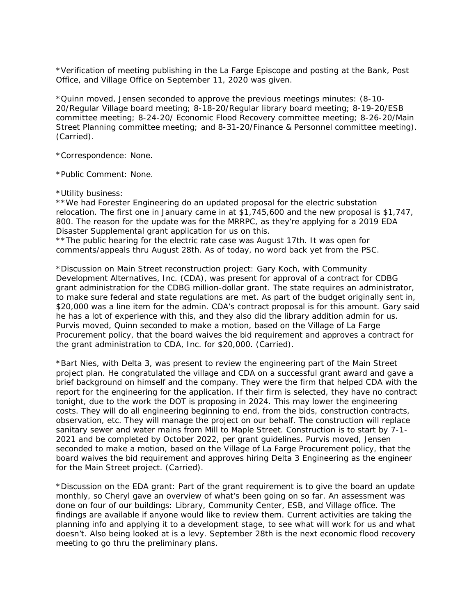\*Verification of meeting publishing in the La Farge Episcope and posting at the Bank, Post Office, and Village Office on September 11, 2020 was given.

\*Quinn moved, Jensen seconded to approve the previous meetings minutes: (8-10- 20/Regular Village board meeting; 8-18-20/Regular library board meeting; 8-19-20/ESB committee meeting; 8-24-20/ Economic Flood Recovery committee meeting; 8-26-20/Main Street Planning committee meeting; and 8-31-20/Finance & Personnel committee meeting). (Carried).

\*Correspondence: None.

\*Public Comment: None.

#### \*Utility business:

\*\*We had Forester Engineering do an updated proposal for the electric substation relocation. The first one in January came in at \$1,745,600 and the new proposal is \$1,747, 800. The reason for the update was for the MRRPC, as they're applying for a 2019 EDA Disaster Supplemental grant application for us on this.

\*\*The public hearing for the electric rate case was August 17th. It was open for comments/appeals thru August 28th. As of today, no word back yet from the PSC.

\*Discussion on Main Street reconstruction project: Gary Koch, with Community Development Alternatives, Inc. (CDA), was present for approval of a contract for CDBG grant administration for the CDBG million-dollar grant. The state requires an administrator, to make sure federal and state regulations are met. As part of the budget originally sent in, \$20,000 was a line item for the admin. CDA's contract proposal is for this amount. Gary said he has a lot of experience with this, and they also did the library addition admin for us. Purvis moved, Quinn seconded to make a motion, based on the Village of La Farge Procurement policy, that the board waives the bid requirement and approves a contract for the grant administration to CDA, Inc. for \$20,000. (Carried).

\*Bart Nies, with Delta 3, was present to review the engineering part of the Main Street project plan. He congratulated the village and CDA on a successful grant award and gave a brief background on himself and the company. They were the firm that helped CDA with the report for the engineering for the application. If their firm is selected, they have no contract tonight, due to the work the DOT is proposing in 2024. This may lower the engineering costs. They will do all engineering beginning to end, from the bids, construction contracts, observation, etc. They will manage the project on our behalf. The construction will replace sanitary sewer and water mains from Mill to Maple Street. Construction is to start by 7-1- 2021 and be completed by October 2022, per grant guidelines. Purvis moved, Jensen seconded to make a motion, based on the Village of La Farge Procurement policy, that the board waives the bid requirement and approves hiring Delta 3 Engineering as the engineer for the Main Street project. (Carried).

\*Discussion on the EDA grant: Part of the grant requirement is to give the board an update monthly, so Cheryl gave an overview of what's been going on so far. An assessment was done on four of our buildings: Library, Community Center, ESB, and Village office. The findings are available if anyone would like to review them. Current activities are taking the planning info and applying it to a development stage, to see what will work for us and what doesn't. Also being looked at is a levy. September 28th is the next economic flood recovery meeting to go thru the preliminary plans.